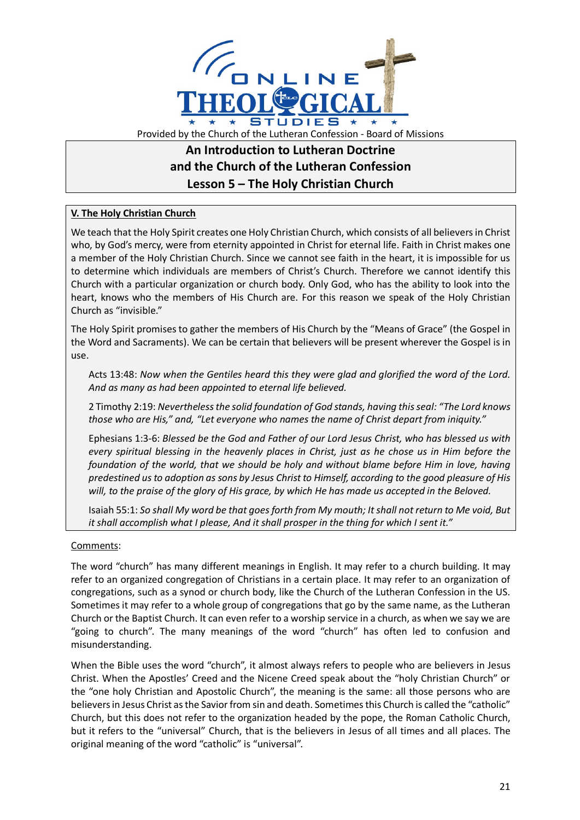

## **An Introduction to Lutheran Doctrine and the Church of the Lutheran Confession Lesson 5 – The Holy Christian Church**

## **V. The Holy Christian Church**

We teach that the Holy Spirit creates one Holy Christian Church, which consists of all believers in Christ who, by God's mercy, were from eternity appointed in Christ for eternal life. Faith in Christ makes one a member of the Holy Christian Church. Since we cannot see faith in the heart, it is impossible for us to determine which individuals are members of Christ's Church. Therefore we cannot identify this Church with a particular organization or church body. Only God, who has the ability to look into the heart, knows who the members of His Church are. For this reason we speak of the Holy Christian Church as "invisible."

The Holy Spirit promises to gather the members of His Church by the "Means of Grace" (the Gospel in the Word and Sacraments). We can be certain that believers will be present wherever the Gospel is in use.

Acts 13:48: *Now when the Gentiles heard this they were glad and glorified the word of the Lord. And as many as had been appointed to eternal life believed.*

2 Timothy 2:19: *Nevertheless the solid foundation of God stands, having this seal: "The Lord knows those who are His," and, "Let everyone who names the name of Christ depart from iniquity."*

Ephesians 1:3-6: *Blessed be the God and Father of our Lord Jesus Christ, who has blessed us with every spiritual blessing in the heavenly places in Christ, just as he chose us in Him before the foundation of the world, that we should be holy and without blame before Him in love, having predestined us to adoption as sons by Jesus Christ to Himself, according to the good pleasure of His will, to the praise of the glory of His grace, by which He has made us accepted in the Beloved.*

Isaiah 55:1: *So shall My word be that goes forth from My mouth; It shall not return to Me void, But it shall accomplish what I please, And it shall prosper in the thing for which I sent it."*

## Comments:

The word "church" has many different meanings in English. It may refer to a church building. It may refer to an organized congregation of Christians in a certain place. It may refer to an organization of congregations, such as a synod or church body, like the Church of the Lutheran Confession in the US. Sometimes it may refer to a whole group of congregations that go by the same name, as the Lutheran Church or the Baptist Church. It can even refer to a worship service in a church, as when we say we are "going to church". The many meanings of the word "church" has often led to confusion and misunderstanding.

When the Bible uses the word "church", it almost always refers to people who are believers in Jesus Christ. When the Apostles' Creed and the Nicene Creed speak about the "holy Christian Church" or the "one holy Christian and Apostolic Church", the meaning is the same: all those persons who are believers in Jesus Christ as the Savior from sin and death. Sometimes this Church is called the "catholic" Church, but this does not refer to the organization headed by the pope, the Roman Catholic Church, but it refers to the "universal" Church, that is the believers in Jesus of all times and all places. The original meaning of the word "catholic" is "universal".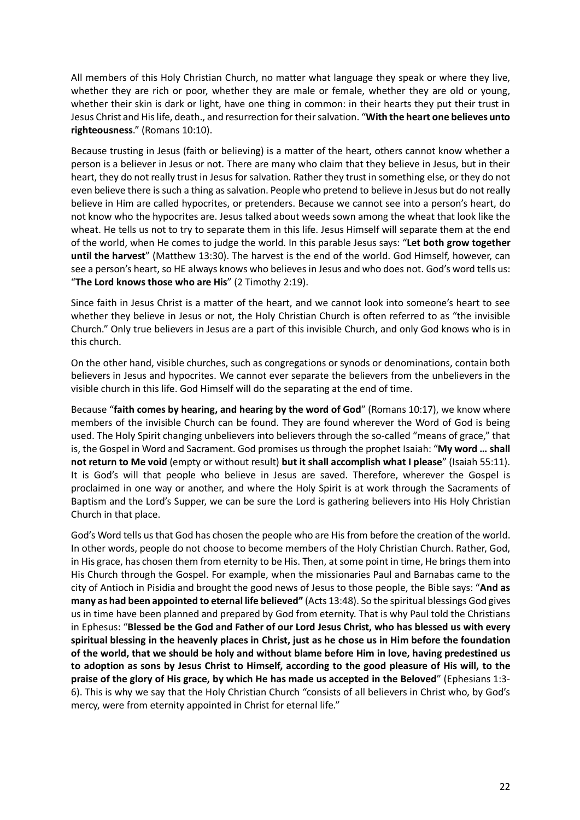All members of this Holy Christian Church, no matter what language they speak or where they live, whether they are rich or poor, whether they are male or female, whether they are old or young, whether their skin is dark or light, have one thing in common: in their hearts they put their trust in Jesus Christ and His life, death., and resurrection for their salvation. "**With the heart one believes unto righteousness**." (Romans 10:10).

Because trusting in Jesus (faith or believing) is a matter of the heart, others cannot know whether a person is a believer in Jesus or not. There are many who claim that they believe in Jesus, but in their heart, they do not really trust in Jesus for salvation. Rather they trust in something else, or they do not even believe there is such a thing as salvation. People who pretend to believe in Jesus but do not really believe in Him are called hypocrites, or pretenders. Because we cannot see into a person's heart, do not know who the hypocrites are. Jesus talked about weeds sown among the wheat that look like the wheat. He tells us not to try to separate them in this life. Jesus Himself will separate them at the end of the world, when He comes to judge the world. In this parable Jesus says: "**Let both grow together until the harvest**" (Matthew 13:30). The harvest is the end of the world. God Himself, however, can see a person's heart, so HE always knows who believes in Jesus and who does not. God's word tells us: "**The Lord knows those who are His**" (2 Timothy 2:19).

Since faith in Jesus Christ is a matter of the heart, and we cannot look into someone's heart to see whether they believe in Jesus or not, the Holy Christian Church is often referred to as "the invisible Church." Only true believers in Jesus are a part of this invisible Church, and only God knows who is in this church.

On the other hand, visible churches, such as congregations or synods or denominations, contain both believers in Jesus and hypocrites. We cannot ever separate the believers from the unbelievers in the visible church in this life. God Himself will do the separating at the end of time.

Because "**faith comes by hearing, and hearing by the word of God**" (Romans 10:17), we know where members of the invisible Church can be found. They are found wherever the Word of God is being used. The Holy Spirit changing unbelievers into believers through the so-called "means of grace," that is, the Gospel in Word and Sacrament. God promises us through the prophet Isaiah: "**My word … shall not return to Me void** (empty or without result) **but it shall accomplish what I please**" (Isaiah 55:11). It is God's will that people who believe in Jesus are saved. Therefore, wherever the Gospel is proclaimed in one way or another, and where the Holy Spirit is at work through the Sacraments of Baptism and the Lord's Supper, we can be sure the Lord is gathering believers into His Holy Christian Church in that place.

God's Word tells us that God has chosen the people who are His from before the creation of the world. In other words, people do not choose to become members of the Holy Christian Church. Rather, God, in His grace, has chosen them from eternity to be His. Then, at some point in time, He brings them into His Church through the Gospel. For example, when the missionaries Paul and Barnabas came to the city of Antioch in Pisidia and brought the good news of Jesus to those people, the Bible says: "**And as many as had been appointed to eternal life believed"** (Acts 13:48). So the spiritual blessings God gives us in time have been planned and prepared by God from eternity. That is why Paul told the Christians in Ephesus: "**Blessed be the God and Father of our Lord Jesus Christ, who has blessed us with every spiritual blessing in the heavenly places in Christ, just as he chose us in Him before the foundation of the world, that we should be holy and without blame before Him in love, having predestined us to adoption as sons by Jesus Christ to Himself, according to the good pleasure of His will, to the praise of the glory of His grace, by which He has made us accepted in the Beloved**" (Ephesians 1:3- 6). This is why we say that the Holy Christian Church "consists of all believers in Christ who, by God's mercy, were from eternity appointed in Christ for eternal life."